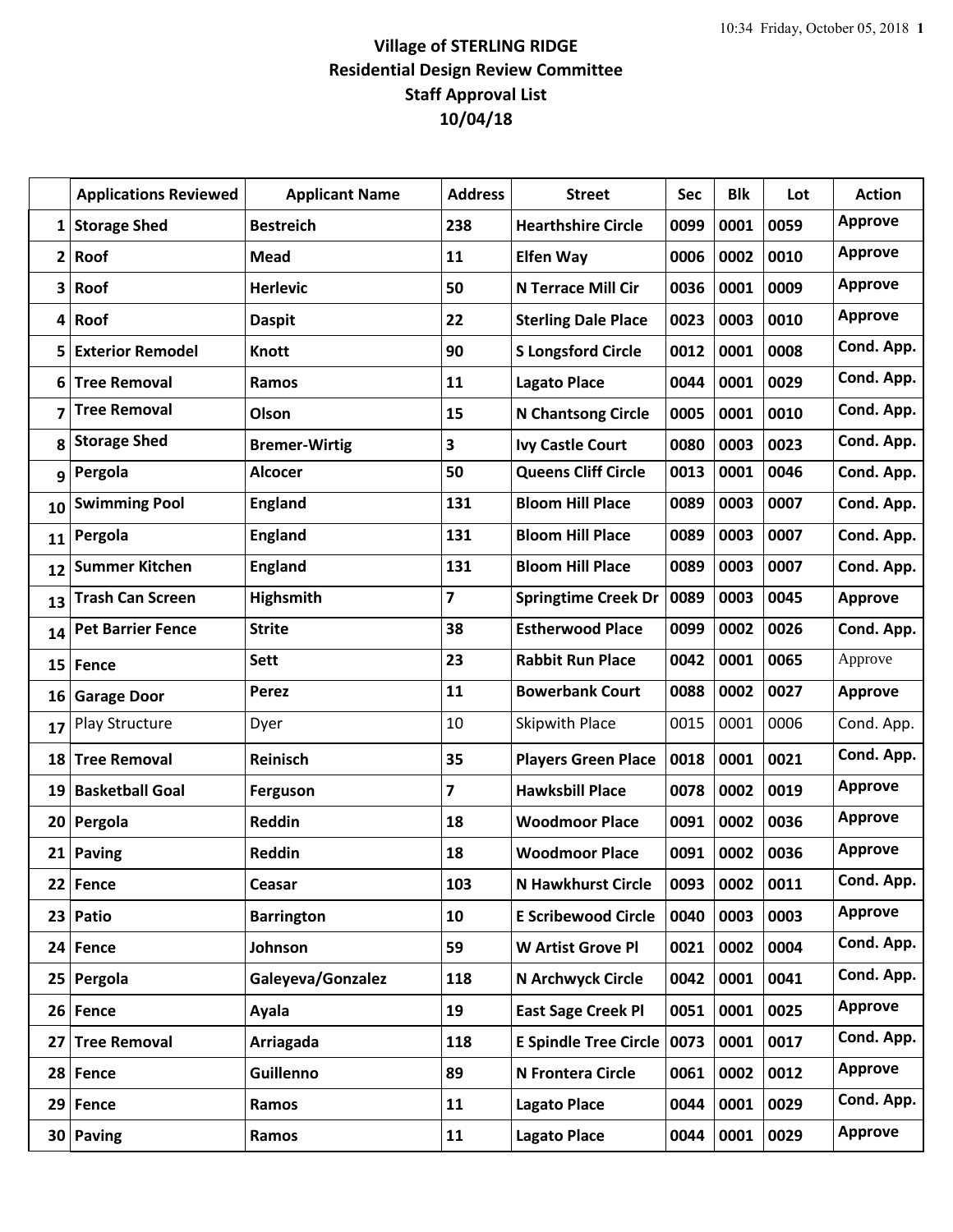## **Village of STERLING RIDGE Residential Design Review Committee Staff Approval List 10/04/18**

|                | <b>Applications Reviewed</b> | <b>Applicant Name</b> | <b>Address</b>          | <b>Street</b>                | Sec  | <b>Blk</b> | Lot  | <b>Action</b>  |
|----------------|------------------------------|-----------------------|-------------------------|------------------------------|------|------------|------|----------------|
| 1              | <b>Storage Shed</b>          | <b>Bestreich</b>      | 238                     | <b>Hearthshire Circle</b>    | 0099 | 0001       | 0059 | <b>Approve</b> |
| $\overline{2}$ | Roof                         | Mead                  | 11                      | <b>Elfen Way</b>             | 0006 | 0002       | 0010 | <b>Approve</b> |
| 3              | Roof                         | <b>Herlevic</b>       | 50                      | <b>N Terrace Mill Cir</b>    | 0036 | 0001       | 0009 | Approve        |
| 4              | Roof                         | <b>Daspit</b>         | 22                      | <b>Sterling Dale Place</b>   | 0023 | 0003       | 0010 | <b>Approve</b> |
| 5              | <b>Exterior Remodel</b>      | <b>Knott</b>          | 90                      | <b>S Longsford Circle</b>    | 0012 | 0001       | 0008 | Cond. App.     |
| 6              | <b>Tree Removal</b>          | Ramos                 | 11                      | <b>Lagato Place</b>          | 0044 | 0001       | 0029 | Cond. App.     |
| 7              | <b>Tree Removal</b>          | Olson                 | 15                      | <b>N Chantsong Circle</b>    | 0005 | 0001       | 0010 | Cond. App.     |
| 8              | <b>Storage Shed</b>          | <b>Bremer-Wirtig</b>  | 3                       | <b>Ivy Castle Court</b>      | 0080 | 0003       | 0023 | Cond. App.     |
| 9              | Pergola                      | <b>Alcocer</b>        | 50                      | <b>Queens Cliff Circle</b>   | 0013 | 0001       | 0046 | Cond. App.     |
| 10             | <b>Swimming Pool</b>         | <b>England</b>        | 131                     | <b>Bloom Hill Place</b>      | 0089 | 0003       | 0007 | Cond. App.     |
| 11             | Pergola                      | <b>England</b>        | 131                     | <b>Bloom Hill Place</b>      | 0089 | 0003       | 0007 | Cond. App.     |
| 12             | <b>Summer Kitchen</b>        | <b>England</b>        | 131                     | <b>Bloom Hill Place</b>      | 0089 | 0003       | 0007 | Cond. App.     |
| 13             | <b>Trash Can Screen</b>      | <b>Highsmith</b>      | $\overline{\mathbf{z}}$ | <b>Springtime Creek Dr</b>   | 0089 | 0003       | 0045 | <b>Approve</b> |
| 14             | <b>Pet Barrier Fence</b>     | <b>Strite</b>         | 38                      | <b>Estherwood Place</b>      | 0099 | 0002       | 0026 | Cond. App.     |
| 15             | <b>Fence</b>                 | <b>Sett</b>           | 23                      | <b>Rabbit Run Place</b>      | 0042 | 0001       | 0065 | Approve        |
| 16             | <b>Garage Door</b>           | Perez                 | 11                      | <b>Bowerbank Court</b>       | 0088 | 0002       | 0027 | <b>Approve</b> |
| 17             | <b>Play Structure</b>        | Dyer                  | 10                      | Skipwith Place               | 0015 | 0001       | 0006 | Cond. App.     |
| 18             | <b>Tree Removal</b>          | Reinisch              | 35                      | <b>Players Green Place</b>   | 0018 | 0001       | 0021 | Cond. App.     |
| 19             | <b>Basketball Goal</b>       | Ferguson              | 7                       | <b>Hawksbill Place</b>       | 0078 | 0002       | 0019 | <b>Approve</b> |
| 20             | Pergola                      | Reddin                | 18                      | <b>Woodmoor Place</b>        | 0091 | 0002       | 0036 | <b>Approve</b> |
|                | 21 Paving                    | Reddin                | 18                      | <b>Woodmoor Place</b>        | 0091 | 0002       | 0036 | <b>Approve</b> |
| 22             | Fence                        | Ceasar                | 103                     | <b>N Hawkhurst Circle</b>    | 0093 | 0002       | 0011 | Cond. App.     |
| 23             | Patio                        | <b>Barrington</b>     | 10                      | <b>E Scribewood Circle</b>   | 0040 | 0003       | 0003 | <b>Approve</b> |
| 24             | Fence                        | Johnson               | 59                      | W Artist Grove Pl            | 0021 | 0002       | 0004 | Cond. App.     |
|                | 25 Pergola                   | Galeyeva/Gonzalez     | 118                     | N Archwyck Circle            | 0042 | 0001       | 0041 | Cond. App.     |
| 26             | Fence                        | Ayala                 | 19                      | <b>East Sage Creek Pl</b>    | 0051 | 0001       | 0025 | <b>Approve</b> |
| 27             | <b>Tree Removal</b>          | Arriagada             | 118                     | <b>E Spindle Tree Circle</b> | 0073 | 0001       | 0017 | Cond. App.     |
|                | 28 Fence                     | <b>Guillenno</b>      | 89                      | N Frontera Circle            | 0061 | 0002       | 0012 | <b>Approve</b> |
| 29             | Fence                        | Ramos                 | 11                      | <b>Lagato Place</b>          | 0044 | 0001       | 0029 | Cond. App.     |
|                | 30 Paving                    | Ramos                 | 11                      | <b>Lagato Place</b>          | 0044 | 0001       | 0029 | <b>Approve</b> |